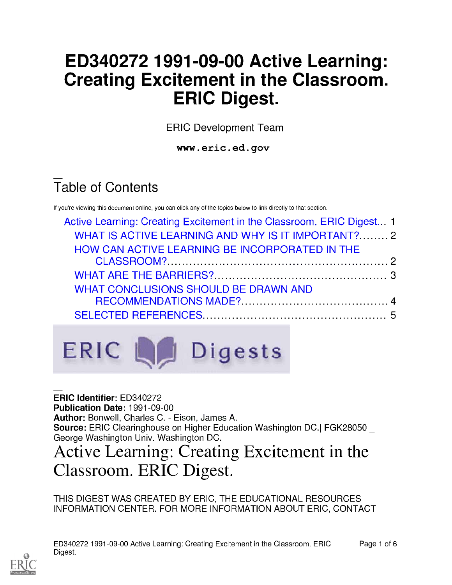## ED340272 1991-09-00 Active Learning: Creating Excitement in the Classroom. ERIC Digest.

ERIC Development Team

www.eric.ed.gov

# Table of Contents

If you're viewing this document online, you can click any of the topics below to link directly to that section.

| Active Learning: Creating Excitement in the Classroom. ERIC Digest 1 |  |
|----------------------------------------------------------------------|--|
| WHAT IS ACTIVE LEARNING AND WHY IS IT IMPORTANT? 2                   |  |
| HOW CAN ACTIVE LEARNING BE INCORPORATED IN THE                       |  |
|                                                                      |  |
|                                                                      |  |
| WHAT CONCLUSIONS SHOULD BE DRAWN AND                                 |  |
|                                                                      |  |
|                                                                      |  |



ERIC Identifier: ED340272 Publication Date: 1991-09-00 Author: Bonwell, Charles C. - Eison, James A. Source: ERIC Clearinghouse on Higher Education Washington DC. | FGK28050 George Washington Univ. Washington DC.

## Active Learning: Creating Excitement in the Classroom. ERIC Digest.

THIS DIGEST WAS CREATED BY ERIC, THE EDUCATIONAL RESOURCES INFORMATION CENTER. FOR MORE INFORMATION ABOUT ERIC, CONTACT

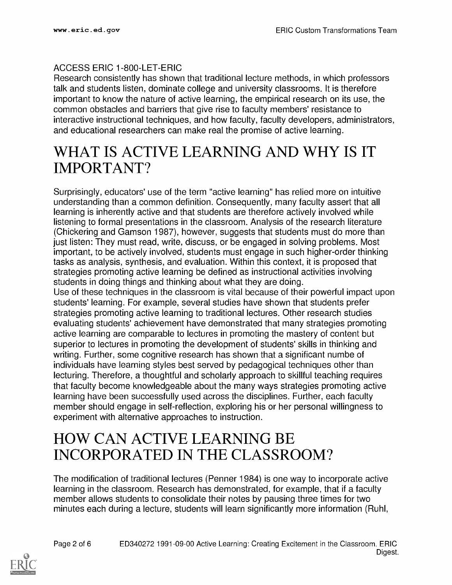#### ACCESS ERIC 1-800-LET-ERIC

Research consistently has shown that traditional lecture methods, in which professors talk and students listen, dominate college and university classrooms. It is therefore important to know the nature of active learning, the empirical research on its use, the common obstacles and barriers that give rise to faculty members' resistance to interactive instructional techniques, and how faculty, faculty developers, administrators, and educational researchers can make real the promise of active learning.

#### WHAT IS ACTIVE LEARNING AND WHY IS IT IMPORTANT?

Surprisingly, educators' use of the term "active learning" has relied more on intuitive understanding than a common definition. Consequently, many faculty assert that all learning is inherently active and that students are therefore actively involved while listening to formal presentations in the classroom. Analysis of the research literature (Chickering and Gamson 1987), however, suggests that students must do more than just listen: They must read, write, discuss, or be engaged in solving problems. Most important, to be actively involved, students must engage in such higher-order thinking tasks as analysis, synthesis, and evaluation. Within this context, it is proposed that strategies promoting active learning be defined as instructional activities involving students in doing things and thinking about what they are doing.

Use of these techniques in the classroom is vital because of their powerful impact upon students' learning. For example, several studies have shown that students prefer strategies promoting active learning to traditional lectures. Other research studies evaluating students' achievement have demonstrated that many strategies promoting active learning are comparable to lectures in promoting the mastery of content but superior to lectures in promoting the development of students' skills in thinking and writing. Further, some cognitive research has shown that a significant numbe of individuals have learning styles best served by pedagogical techniques other than lecturing. Therefore, a thoughtful and scholarly approach to skillful teaching requires that faculty become knowledgeable about the many ways strategies promoting active learning have been successfully used across the disciplines. Further, each faculty member should engage in self-reflection, exploring his or her personal willingness to experiment with alternative approaches to instruction.

### HOW CAN ACTIVE LEARNING BE INCORPORATED IN THE CLASSROOM?

The modification of traditional lectures (Penner 1984) is one way to incorporate active learning in the classroom. Research has demonstrated, for example, that if a faculty member allows students to consolidate their notes by pausing three times for two minutes each during a lecture, students will learn significantly more information (Ruhl,

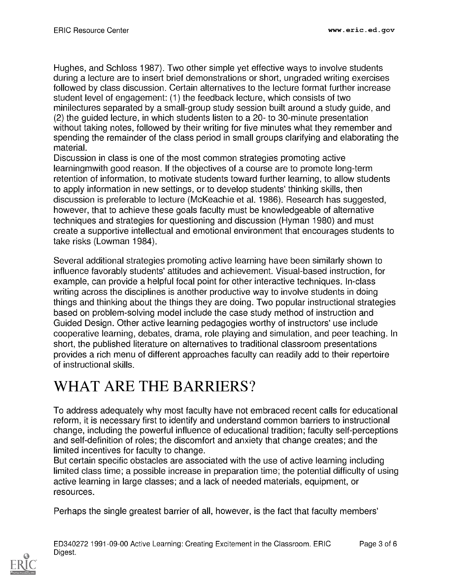Hughes, and Schloss 1987). Two other simple yet effective ways to involve students during a lecture are to insert brief demonstrations or short, ungraded writing exercises followed by class discussion. Certain alternatives to the lecture format further increase student level of engagement: (1) the feedback lecture, which consists of two minilectures separated by a small-group study session built around a study guide, and (2) the guided lecture, in which students listen to a 20- to 30-minute presentation without taking notes, followed by their writing for five minutes what they remember and spending the remainder of the class period in small groups clarifying and elaborating the material.

Discussion in class is one of the most common strategies promoting active learningmwith good reason. If the objectives of a course are to promote long-term retention of information, to motivate students toward further learning, to allow students to apply information in new settings, or to develop students' thinking skills, then discussion is preferable to lecture (McKeachie et al. 1986). Research has suggested, however, that to achieve these goals faculty must be knowledgeable of alternative techniques and strategies for questioning and discussion (Hyman 1980) and must create a supportive intellectual and emotional environment that encourages students to take risks (Lowman 1984).

Several additional strategies promoting active learning have been similarly shown to influence favorably students' attitudes and achievement. Visual-based instruction, for example, can provide a helpful focal point for other interactive techniques. In-class writing across the disciplines is another productive way to involve students in doing things and thinking about the things they are doing. Two popular instructional strategies based on problem-solving model include the case study method of instruction and Guided Design. Other active learning pedagogies worthy of instructors' use include cooperative learning, debates, drama, role playing and simulation, and peer teaching. In short, the published literature on alternatives to traditional classroom presentations provides a rich menu of different approaches faculty can readily add to their repertoire of instructional skills.

## WHAT ARE THE BARRIERS?

To address adequately why most faculty have not embraced recent calls for educational reform, it is necessary first to identify and understand common barriers to instructional change, including the powerful influence of educational tradition; faculty self-perceptions and self-definition of roles; the discomfort and anxiety that change creates; and the limited incentives for faculty to change.

But certain specific obstacles are associated with the use of active learning including limited class time; a possible increase in preparation time; the potential difficulty of using active learning in large classes; and a lack of needed materials, equipment, or resources.

Perhaps the single greatest barrier of all, however, is the fact that faculty members'

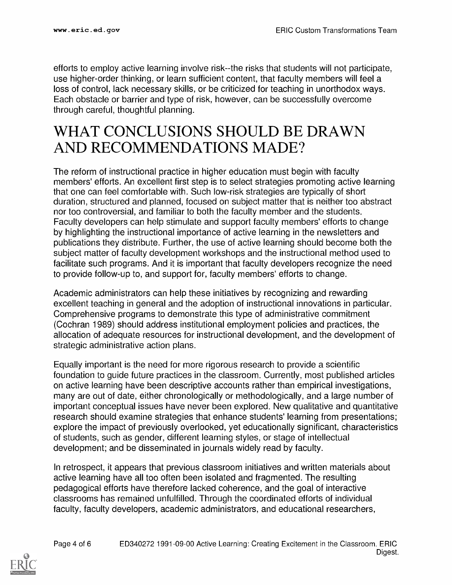efforts to employ active learning involve risk--the risks that students will not participate, use higher-order thinking, or learn sufficient content, that faculty members will feel a loss of control, lack necessary skills, or be criticized for teaching in unorthodox ways. Each obstacle or barrier and type of risk, however, can be successfully overcome through careful, thoughtful planning.

### WHAT CONCLUSIONS SHOULD BE DRAWN AND RECOMMENDATIONS MADE?

The reform of instructional practice in higher education must begin with faculty members' efforts. An excellent first step is to select strategies promoting active learning that one can feel comfortable with. Such low-risk strategies are typically of short duration, structured and planned, focused on subject matter that is neither too abstract nor too controversial, and familiar to both the faculty member and the students. Faculty developers can help stimulate and support faculty members' efforts to change by highlighting the instructional importance of active learning in the newsletters and publications they distribute. Further, the use of active learning should become both the subject matter of faculty development workshops and the instructional method used to facilitate such programs. And it is important that faculty developers recognize the need to provide follow-up to, and support for, faculty members' efforts to change.

Academic administrators can help these initiatives by recognizing and rewarding excellent teaching in general and the adoption of instructional innovations in particular. Comprehensive programs to demonstrate this type of administrative commitment (Cochran 1989) should address institutional employment policies and practices, the allocation of adequate resources for instructional development, and the development of strategic administrative action plans.

Equally important is the need for more rigorous research to provide a scientific foundation to guide future practices in the classroom. Currently, most published articles on active learning have been descriptive accounts rather than empirical investigations, many are out of date, either chronologically or methodologically, and a large number of important conceptual issues have never been explored. New qualitative and quantitative research should examine strategies that enhance students' learning from presentations; explore the impact of previously overlooked, yet educationally significant, characteristics of students, such as gender, different learning styles, or stage of intellectual development; and be disseminated in journals widely read by faculty.

In retrospect, it appears that previous classroom initiatives and written materials about active learning have all too often been isolated and fragmented. The resulting pedagogical efforts have therefore lacked coherence, and the goal of interactive classrooms has remained unfulfilled. Through the coordinated efforts of individual faculty, faculty developers, academic administrators, and educational researchers,

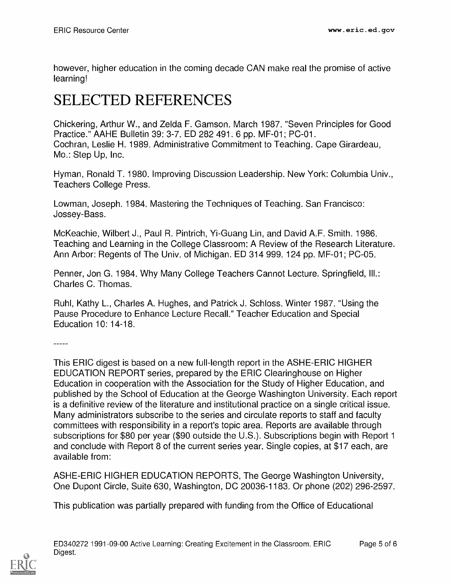however, higher education in the coming decade CAN make real the promise of active learning!

## SELECTED REFERENCES

Chickering, Arthur W., and Zelda F. Gamson. March 1987. "Seven Principles for Good Practice." AAHE Bulletin 39: 3-7. ED 282 491. 6 pp. MF-01; PC-01. Cochran, Leslie H. 1989. Administrative Commitment to Teaching. Cape Girardeau, Mo.: Step Up, Inc.

Hyman, Ronald T. 1980. Improving Discussion Leadership. New York: Columbia Univ., Teachers College Press.

Lowman, Joseph. 1984. Mastering the Techniques of Teaching. San Francisco: Jossey-Bass.

McKeachie, Wilbert J., Paul R. Pintrich, Yi-Guang Lin, and David A.F. Smith. 1986. Teaching and Learning in the College Classroom: A Review of the Research Literature. Ann Arbor: Regents of The Univ. of Michigan. ED 314 999. 124 pp. MF-01; PC-05.

Penner, Jon G. 1984. Why Many College Teachers Cannot Lecture. Springfield, Ill.: Charles C. Thomas.

Ruhl, Kathy L., Charles A. Hughes, and Patrick J. Schloss. Winter 1987. "Using the Pause Procedure to Enhance Lecture Recall." Teacher Education and Special Education 10: 14-18.

 $---$ 

This ERIC digest is based on a new full-length report in the ASHE-ERIC HIGHER EDUCATION REPORT series, prepared by the ERIC Clearinghouse on Higher Education in cooperation with the Association for the Study of Higher Education, and published by the School of Education at the George Washington University. Each report is a definitive review of the literature and institutional practice on a single critical issue. Many administrators subscribe to the series and circulate reports to staff and faculty committees with responsibility in a report's topic area. Reports are available through subscriptions for \$80 per year (\$90 outside the U.S.). Subscriptions begin with Report 1 and conclude with Report 8 of the current series year. Single copies, at \$17 each, are available from:

ASHE-ERIC HIGHER EDUCATION REPORTS, The George Washington University, One Dupont Circle, Suite 630, Washington, DC 20036-1183. Or phone (202) 296-2597.

This publication was partially prepared with funding from the Office of Educational